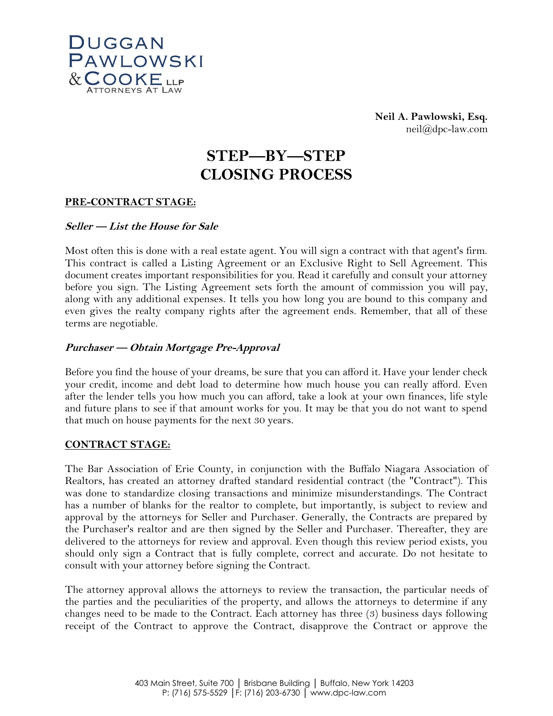

**Neil A. Pawlowski, Esq.** neil@dpc-law.com

# **STEP—BY—STEP CLOSING PROCESS**

# **PRE-CONTRACT STAGE:**

# **Seller — List the House for Sale**

Most often this is done with a real estate agent. You will sign a contract with that agent's firm. This contract is called a Listing Agreement or an Exclusive Right to Sell Agreement. This document creates important responsibilities for you. Read it carefully and consult your attorney before you sign. The Listing Agreement sets forth the amount of commission you will pay, along with any additional expenses. It tells you how long you are bound to this company and even gives the realty company rights after the agreement ends. Remember, that all of these terms are negotiable.

# **Purchaser — Obtain Mortgage Pre-Approval**

Before you find the house of your dreams, be sure that you can afford it. Have your lender check your credit, income and debt load to determine how much house you can really afford. Even after the lender tells you how much you can afford, take a look at your own finances, life style and future plans to see if that amount works for you. It may be that you do not want to spend that much on house payments for the next 30 years.

#### **CONTRACT STAGE:**

The Bar Association of Erie County, in conjunction with the Buffalo Niagara Association of Realtors, has created an attorney drafted standard residential contract (the "Contract"). This was done to standardize closing transactions and minimize misunderstandings. The Contract has a number of blanks for the realtor to complete, but importantly, is subject to review and approval by the attorneys for Seller and Purchaser. Generally, the Contracts are prepared by the Purchaser's realtor and are then signed by the Seller and Purchaser. Thereafter, they are delivered to the attorneys for review and approval. Even though this review period exists, you should only sign a Contract that is fully complete, correct and accurate. Do not hesitate to consult with your attorney before signing the Contract.

The attorney approval allows the attorneys to review the transaction, the particular needs of the parties and the peculiarities of the property, and allows the attorneys to determine if any changes need to be made to the Contract. Each attorney has three (3) business days following receipt of the Contract to approve the Contract, disapprove the Contract or approve the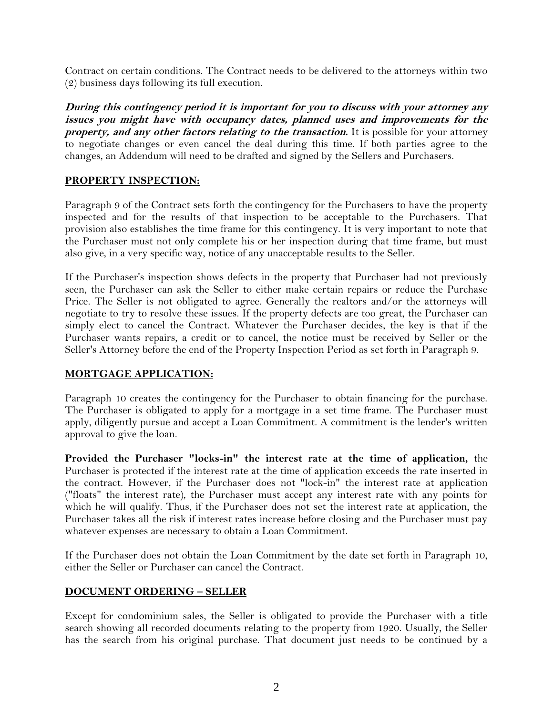Contract on certain conditions. The Contract needs to be delivered to the attorneys within two (2) business days following its full execution.

**During this contingency period it is important for you to discuss with your attorney any issues you might have with occupancy dates, planned uses and improvements for the property, and any other factors relating to the transaction.** It is possible for your attorney to negotiate changes or even cancel the deal during this time. If both parties agree to the changes, an Addendum will need to be drafted and signed by the Sellers and Purchasers.

# **PROPERTY INSPECTION:**

Paragraph 9 of the Contract sets forth the contingency for the Purchasers to have the property inspected and for the results of that inspection to be acceptable to the Purchasers. That provision also establishes the time frame for this contingency. It is very important to note that the Purchaser must not only complete his or her inspection during that time frame, but must also give, in a very specific way, notice of any unacceptable results to the Seller.

If the Purchaser's inspection shows defects in the property that Purchaser had not previously seen, the Purchaser can ask the Seller to either make certain repairs or reduce the Purchase Price. The Seller is not obligated to agree. Generally the realtors and/or the attorneys will negotiate to try to resolve these issues. If the property defects are too great, the Purchaser can simply elect to cancel the Contract. Whatever the Purchaser decides, the key is that if the Purchaser wants repairs, a credit or to cancel, the notice must be received by Seller or the Seller's Attorney before the end of the Property Inspection Period as set forth in Paragraph 9.

# **MORTGAGE APPLICATION:**

Paragraph 10 creates the contingency for the Purchaser to obtain financing for the purchase. The Purchaser is obligated to apply for a mortgage in a set time frame. The Purchaser must apply, diligently pursue and accept a Loan Commitment. A commitment is the lender's written approval to give the loan.

**Provided the Purchaser "locks-in" the interest rate at the time of application,** the Purchaser is protected if the interest rate at the time of application exceeds the rate inserted in the contract. However, if the Purchaser does not "lock-in" the interest rate at application ("floats" the interest rate), the Purchaser must accept any interest rate with any points for which he will qualify. Thus, if the Purchaser does not set the interest rate at application, the Purchaser takes all the risk if interest rates increase before closing and the Purchaser must pay whatever expenses are necessary to obtain a Loan Commitment.

If the Purchaser does not obtain the Loan Commitment by the date set forth in Paragraph 10, either the Seller or Purchaser can cancel the Contract.

# **DOCUMENT ORDERING – SELLER**

Except for condominium sales, the Seller is obligated to provide the Purchaser with a title search showing all recorded documents relating to the property from 1920. Usually, the Seller has the search from his original purchase. That document just needs to be continued by a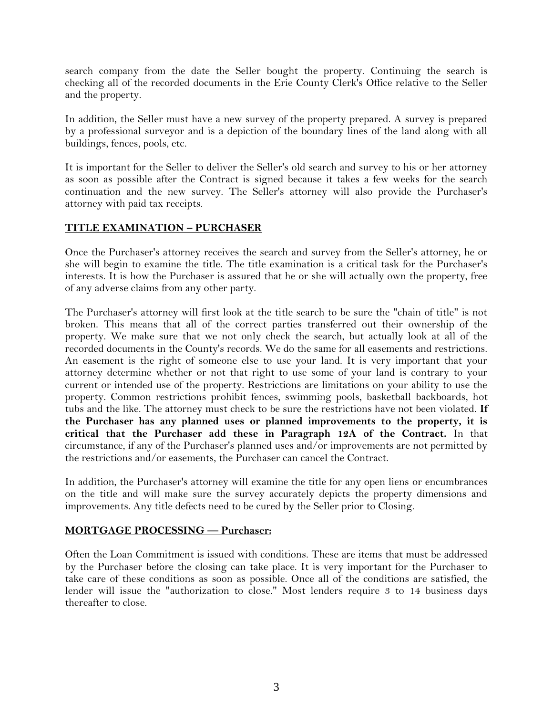search company from the date the Seller bought the property. Continuing the search is checking all of the recorded documents in the Erie County Clerk's Office relative to the Seller and the property.

In addition, the Seller must have a new survey of the property prepared. A survey is prepared by a professional surveyor and is a depiction of the boundary lines of the land along with all buildings, fences, pools, etc.

It is important for the Seller to deliver the Seller's old search and survey to his or her attorney as soon as possible after the Contract is signed because it takes a few weeks for the search continuation and the new survey. The Seller's attorney will also provide the Purchaser's attorney with paid tax receipts.

# **TITLE EXAMINATION – PURCHASER**

Once the Purchaser's attorney receives the search and survey from the Seller's attorney, he or she will begin to examine the title. The title examination is a critical task for the Purchaser's interests. It is how the Purchaser is assured that he or she will actually own the property, free of any adverse claims from any other party.

The Purchaser's attorney will first look at the title search to be sure the "chain of title" is not broken. This means that all of the correct parties transferred out their ownership of the property. We make sure that we not only check the search, but actually look at all of the recorded documents in the County's records. We do the same for all easements and restrictions. An easement is the right of someone else to use your land. It is very important that your attorney determine whether or not that right to use some of your land is contrary to your current or intended use of the property. Restrictions are limitations on your ability to use the property. Common restrictions prohibit fences, swimming pools, basketball backboards, hot tubs and the like. The attorney must check to be sure the restrictions have not been violated. **If the Purchaser has any planned uses or planned improvements to the property, it is critical that the Purchaser add these in Paragraph 12A of the Contract.** In that circumstance, if any of the Purchaser's planned uses and/or improvements are not permitted by the restrictions and/or easements, the Purchaser can cancel the Contract.

In addition, the Purchaser's attorney will examine the title for any open liens or encumbrances on the title and will make sure the survey accurately depicts the property dimensions and improvements. Any title defects need to be cured by the Seller prior to Closing.

#### **MORTGAGE PROCESSING — Purchaser:**

Often the Loan Commitment is issued with conditions. These are items that must be addressed by the Purchaser before the closing can take place. It is very important for the Purchaser to take care of these conditions as soon as possible. Once all of the conditions are satisfied, the lender will issue the "authorization to close." Most lenders require 3 to 14 business days thereafter to close.